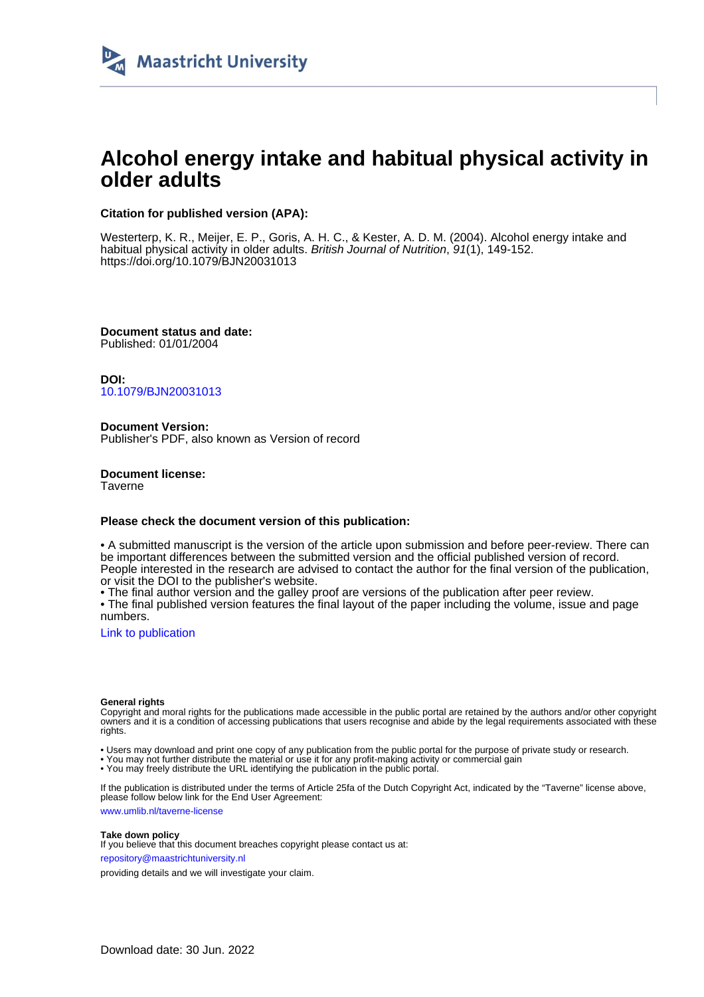

# **Alcohol energy intake and habitual physical activity in older adults**

## **Citation for published version (APA):**

Westerterp, K. R., Meijer, E. P., Goris, A. H. C., & Kester, A. D. M. (2004). Alcohol energy intake and habitual physical activity in older adults. British Journal of Nutrition, 91(1), 149-152. <https://doi.org/10.1079/BJN20031013>

**Document status and date:** Published: 01/01/2004

**DOI:** [10.1079/BJN20031013](https://doi.org/10.1079/BJN20031013)

**Document Version:** Publisher's PDF, also known as Version of record

**Document license: Taverne** 

### **Please check the document version of this publication:**

• A submitted manuscript is the version of the article upon submission and before peer-review. There can be important differences between the submitted version and the official published version of record. People interested in the research are advised to contact the author for the final version of the publication, or visit the DOI to the publisher's website.

• The final author version and the galley proof are versions of the publication after peer review.

• The final published version features the final layout of the paper including the volume, issue and page numbers.

[Link to publication](https://cris.maastrichtuniversity.nl/en/publications/291cd25b-60f1-4ded-bc87-1a87c262e8f1)

### **General rights**

Copyright and moral rights for the publications made accessible in the public portal are retained by the authors and/or other copyright owners and it is a condition of accessing publications that users recognise and abide by the legal requirements associated with these rights.

• Users may download and print one copy of any publication from the public portal for the purpose of private study or research.

• You may not further distribute the material or use it for any profit-making activity or commercial gain

• You may freely distribute the URL identifying the publication in the public portal.

If the publication is distributed under the terms of Article 25fa of the Dutch Copyright Act, indicated by the "Taverne" license above, please follow below link for the End User Agreement:

www.umlib.nl/taverne-license

### **Take down policy**

If you believe that this document breaches copyright please contact us at: repository@maastrichtuniversity.nl

providing details and we will investigate your claim.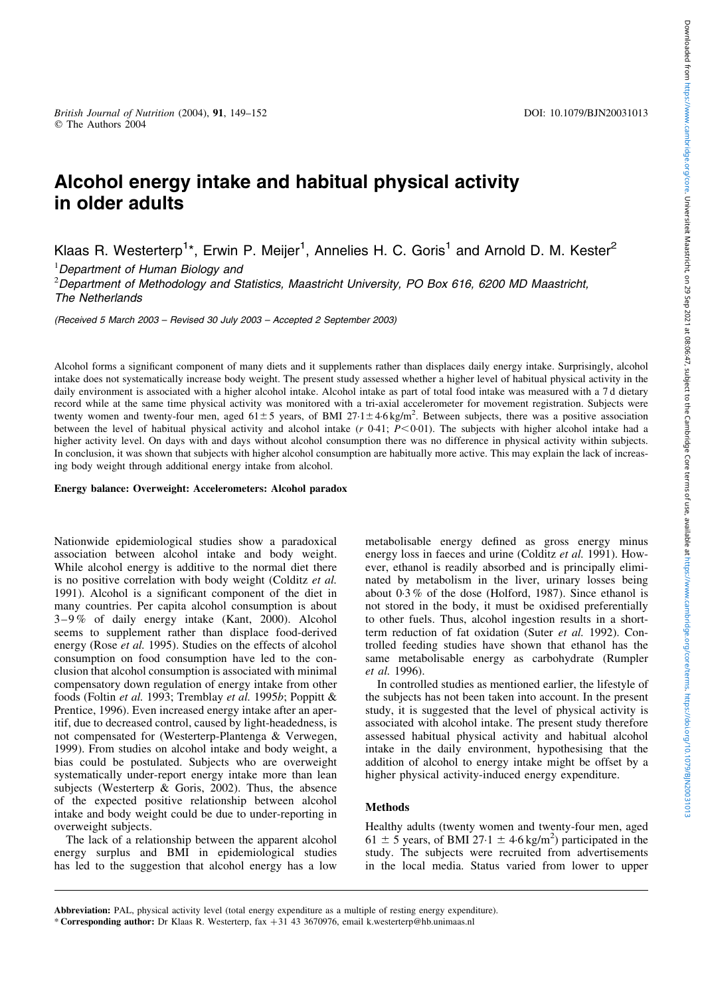## Alcohol energy intake and habitual physical activity in older adults

Klaas R. Westerterp<sup>1\*</sup>, Erwin P. Meijer<sup>1</sup>, Annelies H. C. Goris<sup>1</sup> and Arnold D. M. Kester<sup>2</sup>

<sup>1</sup>Department of Human Biology and

2 Department of Methodology and Statistics, Maastricht University, PO Box 616, 6200 MD Maastricht, The Netherlands

(Received 5 March 2003 – Revised 30 July 2003 – Accepted 2 September 2003)

Alcohol forms a significant component of many diets and it supplements rather than displaces daily energy intake. Surprisingly, alcohol intake does not systematically increase body weight. The present study assessed whether a higher level of habitual physical activity in the daily environment is associated with a higher alcohol intake. Alcohol intake as part of total food intake was measured with a 7d dietary record while at the same time physical activity was monitored with a tri-axial accelerometer for movement registration. Subjects were twenty women and twenty-four men, aged  $61\pm5$  years, of BMI 27·1 $\pm$ 4·6 kg/m<sup>2</sup>. Between subjects, there was a positive association between the level of habitual physical activity and alcohol intake  $(r \t0.41; P<0.01)$ . The subjects with higher alcohol intake had a higher activity level. On days with and days without alcohol consumption there was no difference in physical activity within subjects. In conclusion, it was shown that subjects with higher alcohol consumption are habitually more active. This may explain the lack of increasing body weight through additional energy intake from alcohol.

Energy balance: Overweight: Accelerometers: Alcohol paradox

Nationwide epidemiological studies show a paradoxical association between alcohol intake and body weight. While alcohol energy is additive to the normal diet there is no positive correlation with body weight (Colditz et al. 1991). Alcohol is a significant component of the diet in many countries. Per capita alcohol consumption is about 3–9 % of daily energy intake (Kant, 2000). Alcohol seems to supplement rather than displace food-derived energy (Rose et al. 1995). Studies on the effects of alcohol consumption on food consumption have led to the conclusion that alcohol consumption is associated with minimal compensatory down regulation of energy intake from other foods (Foltin et al. 1993; Tremblay et al. 1995b; Poppitt & Prentice, 1996). Even increased energy intake after an aperitif, due to decreased control, caused by light-headedness, is not compensated for (Westerterp-Plantenga & Verwegen, 1999). From studies on alcohol intake and body weight, a bias could be postulated. Subjects who are overweight systematically under-report energy intake more than lean subjects (Westerterp  $\&$  Goris, 2002). Thus, the absence of the expected positive relationship between alcohol intake and body weight could be due to under-reporting in overweight subjects.

The lack of a relationship between the apparent alcohol energy surplus and BMI in epidemiological studies has led to the suggestion that alcohol energy has a low metabolisable energy defined as gross energy minus energy loss in faeces and urine (Colditz et al. 1991). However, ethanol is readily absorbed and is principally eliminated by metabolism in the liver, urinary losses being about 0·3 % of the dose (Holford, 1987). Since ethanol is not stored in the body, it must be oxidised preferentially to other fuels. Thus, alcohol ingestion results in a shortterm reduction of fat oxidation (Suter et al. 1992). Controlled feeding studies have shown that ethanol has the same metabolisable energy as carbohydrate (Rumpler et al. 1996).

In controlled studies as mentioned earlier, the lifestyle of the subjects has not been taken into account. In the present study, it is suggested that the level of physical activity is associated with alcohol intake. The present study therefore assessed habitual physical activity and habitual alcohol intake in the daily environment, hypothesising that the addition of alcohol to energy intake might be offset by a higher physical activity-induced energy expenditure.

## Methods

Healthy adults (twenty women and twenty-four men, aged 61  $\pm$  5 years, of BMI 27·1  $\pm$  4·6 kg/m<sup>2</sup>) participated in the study. The subjects were recruited from advertisements in the local media. Status varied from lower to upper

<sup>\*</sup> Corresponding author: Dr Klaas R. Westerterp, fax +31 43 3670976, email k.westerterp@hb.unimaas.nl Abbreviation: PAL, physical activity level (total energy expenditure as a multiple of resting energy expenditure).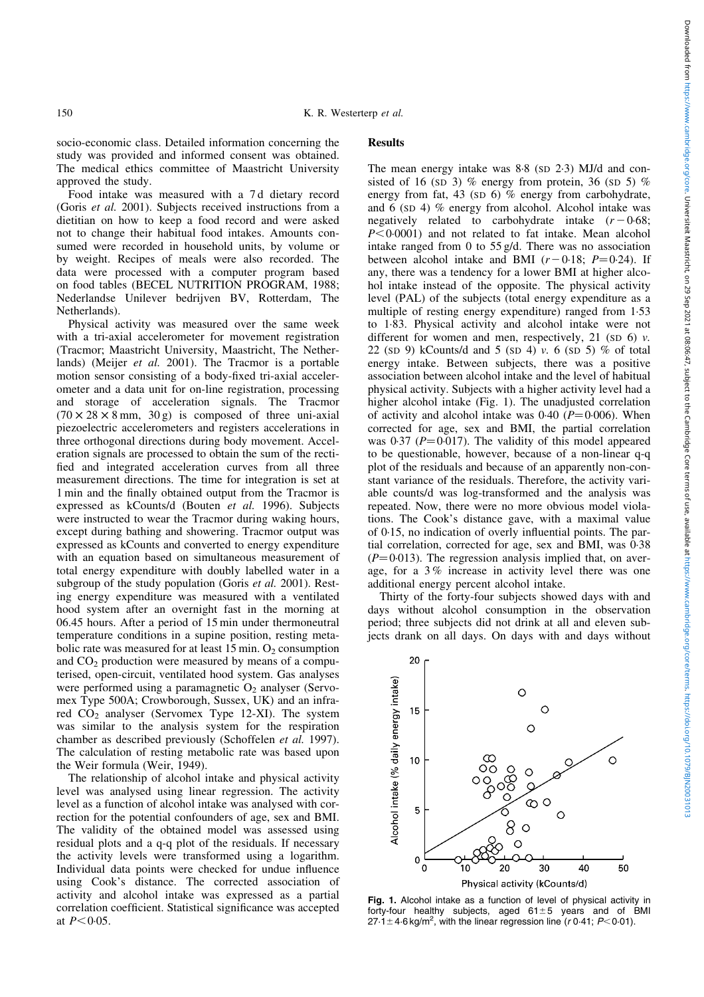socio-economic class. Detailed information concerning the study was provided and informed consent was obtained. The medical ethics committee of Maastricht University approved the study.

Food intake was measured with a 7 d dietary record (Goris et al. 2001). Subjects received instructions from a dietitian on how to keep a food record and were asked not to change their habitual food intakes. Amounts consumed were recorded in household units, by volume or by weight. Recipes of meals were also recorded. The data were processed with a computer program based on food tables (BECEL NUTRITION PROGRAM, 1988; Nederlandse Unilever bedrijven BV, Rotterdam, The Netherlands).

Physical activity was measured over the same week with a tri-axial accelerometer for movement registration (Tracmor; Maastricht University, Maastricht, The Netherlands) (Meijer et al. 2001). The Tracmor is a portable motion sensor consisting of a body-fixed tri-axial accelerometer and a data unit for on-line registration, processing and storage of acceleration signals. The Tracmor  $(70 \times 28 \times 8 \text{ mm}, 30 \text{ g})$  is composed of three uni-axial piezoelectric accelerometers and registers accelerations in three orthogonal directions during body movement. Acceleration signals are processed to obtain the sum of the rectified and integrated acceleration curves from all three measurement directions. The time for integration is set at 1 min and the finally obtained output from the Tracmor is expressed as kCounts/d (Bouten et al. 1996). Subjects were instructed to wear the Tracmor during waking hours, except during bathing and showering. Tracmor output was expressed as kCounts and converted to energy expenditure with an equation based on simultaneous measurement of total energy expenditure with doubly labelled water in a subgroup of the study population (Goris et al. 2001). Resting energy expenditure was measured with a ventilated hood system after an overnight fast in the morning at 06.45 hours. After a period of 15 min under thermoneutral temperature conditions in a supine position, resting metabolic rate was measured for at least  $15 \text{ min}$ . O<sub>2</sub> consumption and  $CO<sub>2</sub>$  production were measured by means of a computerised, open-circuit, ventilated hood system. Gas analyses were performed using a paramagnetic  $O_2$  analyser (Servomex Type 500A; Crowborough, Sussex, UK) and an infrared  $CO<sub>2</sub>$  analyser (Servomex Type 12-XI). The system was similar to the analysis system for the respiration chamber as described previously (Schoffelen et al. 1997). The calculation of resting metabolic rate was based upon the Weir formula (Weir, 1949).

The relationship of alcohol intake and physical activity level was analysed using linear regression. The activity level as a function of alcohol intake was analysed with correction for the potential confounders of age, sex and BMI. The validity of the obtained model was assessed using residual plots and a q-q plot of the residuals. If necessary the activity levels were transformed using a logarithm. Individual data points were checked for undue influence using Cook's distance. The corrected association of activity and alcohol intake was expressed as a partial correlation coefficient. Statistical significance was accepted at  $P < 0.05$ .

## **Results**

The mean energy intake was 8.8 (SD 2.3) MJ/d and consisted of 16 (SD 3) % energy from protein, 36 (SD 5) % energy from fat, 43 (SD 6) % energy from carbohydrate, and 6 (SD 4) % energy from alcohol. Alcohol intake was negatively related to carbohydrate intake  $(r - 0.68;$  $P<0.0001$ ) and not related to fat intake. Mean alcohol intake ranged from 0 to 55 g/d. There was no association between alcohol intake and BMI  $(r-0.18; P=0.24)$ . If any, there was a tendency for a lower BMI at higher alcohol intake instead of the opposite. The physical activity level (PAL) of the subjects (total energy expenditure as a multiple of resting energy expenditure) ranged from 1·53 to 1·83. Physical activity and alcohol intake were not different for women and men, respectively, 21 (SD 6)  $\nu$ . 22 (SD 9) kCounts/d and 5 (SD 4)  $\nu$ . 6 (SD 5) % of total energy intake. Between subjects, there was a positive association between alcohol intake and the level of habitual physical activity. Subjects with a higher activity level had a higher alcohol intake (Fig. 1). The unadjusted correlation of activity and alcohol intake was  $0.40$  ( $P = 0.006$ ). When corrected for age, sex and BMI, the partial correlation was 0.37 ( $P = 0.017$ ). The validity of this model appeared to be questionable, however, because of a non-linear q-q plot of the residuals and because of an apparently non-constant variance of the residuals. Therefore, the activity variable counts/d was log-transformed and the analysis was repeated. Now, there were no more obvious model violations. The Cook's distance gave, with a maximal value of 0·15, no indication of overly influential points. The partial correlation, corrected for age, sex and BMI, was 0·38  $(P=0.013)$ . The regression analysis implied that, on average, for a 3 % increase in activity level there was one additional energy percent alcohol intake.

Thirty of the forty-four subjects showed days with and days without alcohol consumption in the observation period; three subjects did not drink at all and eleven subjects drank on all days. On days with and days without



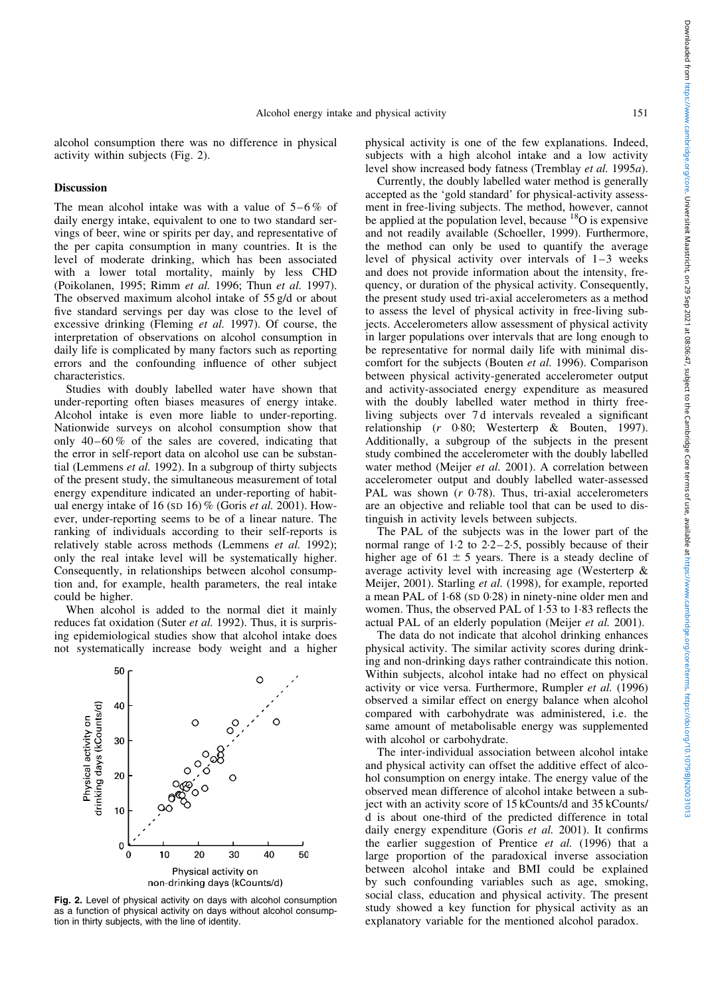alcohol consumption there was no difference in physical activity within subjects (Fig. 2).

### **Discussion**

The mean alcohol intake was with a value of  $5-6\%$  of daily energy intake, equivalent to one to two standard servings of beer, wine or spirits per day, and representative of the per capita consumption in many countries. It is the level of moderate drinking, which has been associated with a lower total mortality, mainly by less CHD (Poikolanen, 1995; Rimm et al. 1996; Thun et al. 1997). The observed maximum alcohol intake of 55 g/d or about five standard servings per day was close to the level of excessive drinking (Fleming et al. 1997). Of course, the interpretation of observations on alcohol consumption in daily life is complicated by many factors such as reporting errors and the confounding influence of other subject characteristics.

Studies with doubly labelled water have shown that under-reporting often biases measures of energy intake. Alcohol intake is even more liable to under-reporting. Nationwide surveys on alcohol consumption show that only  $40-60\%$  of the sales are covered, indicating that the error in self-report data on alcohol use can be substantial (Lemmens et al. 1992). In a subgroup of thirty subjects of the present study, the simultaneous measurement of total energy expenditure indicated an under-reporting of habitual energy intake of 16 (SD 16) % (Goris et al. 2001). However, under-reporting seems to be of a linear nature. The ranking of individuals according to their self-reports is relatively stable across methods (Lemmens et al. 1992); only the real intake level will be systematically higher. Consequently, in relationships between alcohol consumption and, for example, health parameters, the real intake could be higher.

When alcohol is added to the normal diet it mainly reduces fat oxidation (Suter et al. 1992). Thus, it is surprising epidemiological studies show that alcohol intake does not systematically increase body weight and a higher



Fig. 2. Level of physical activity on days with alcohol consumption as a function of physical activity on days without alcohol consumption in thirty subjects, with the line of identity.

physical activity is one of the few explanations. Indeed, subjects with a high alcohol intake and a low activity level show increased body fatness (Tremblay et al. 1995a).

Currently, the doubly labelled water method is generally accepted as the 'gold standard' for physical-activity assessment in free-living subjects. The method, however, cannot be applied at the population level, because  $^{18}$ O is expensive and not readily available (Schoeller, 1999). Furthermore, the method can only be used to quantify the average level of physical activity over intervals of 1–3 weeks and does not provide information about the intensity, frequency, or duration of the physical activity. Consequently, the present study used tri-axial accelerometers as a method to assess the level of physical activity in free-living subjects. Accelerometers allow assessment of physical activity in larger populations over intervals that are long enough to be representative for normal daily life with minimal discomfort for the subjects (Bouten et al. 1996). Comparison between physical activity-generated accelerometer output and activity-associated energy expenditure as measured with the doubly labelled water method in thirty freeliving subjects over 7 d intervals revealed a significant relationship (r 0·80; Westerterp & Bouten, 1997). Additionally, a subgroup of the subjects in the present study combined the accelerometer with the doubly labelled water method (Meijer et al. 2001). A correlation between accelerometer output and doubly labelled water-assessed PAL was shown  $(r \t0.78)$ . Thus, tri-axial accelerometers are an objective and reliable tool that can be used to distinguish in activity levels between subjects.

The PAL of the subjects was in the lower part of the normal range of 1·2 to 2·2–2·5, possibly because of their higher age of  $61 \pm 5$  years. There is a steady decline of average activity level with increasing age (Westerterp & Meijer, 2001). Starling et al. (1998), for example, reported a mean PAL of 1·68 (SD 0·28) in ninety-nine older men and women. Thus, the observed PAL of 1·53 to 1·83 reflects the actual PAL of an elderly population (Meijer et al. 2001).

The data do not indicate that alcohol drinking enhances physical activity. The similar activity scores during drinking and non-drinking days rather contraindicate this notion. Within subjects, alcohol intake had no effect on physical activity or vice versa. Furthermore, Rumpler et al. (1996) observed a similar effect on energy balance when alcohol compared with carbohydrate was administered, i.e. the same amount of metabolisable energy was supplemented with alcohol or carbohydrate.

The inter-individual association between alcohol intake and physical activity can offset the additive effect of alcohol consumption on energy intake. The energy value of the observed mean difference of alcohol intake between a subject with an activity score of 15 kCounts/d and 35 kCounts/ d is about one-third of the predicted difference in total daily energy expenditure (Goris et al. 2001). It confirms the earlier suggestion of Prentice et al. (1996) that a large proportion of the paradoxical inverse association between alcohol intake and BMI could be explained by such confounding variables such as age, smoking, social class, education and physical activity. The present study showed a key function for physical activity as an explanatory variable for the mentioned alcohol paradox.